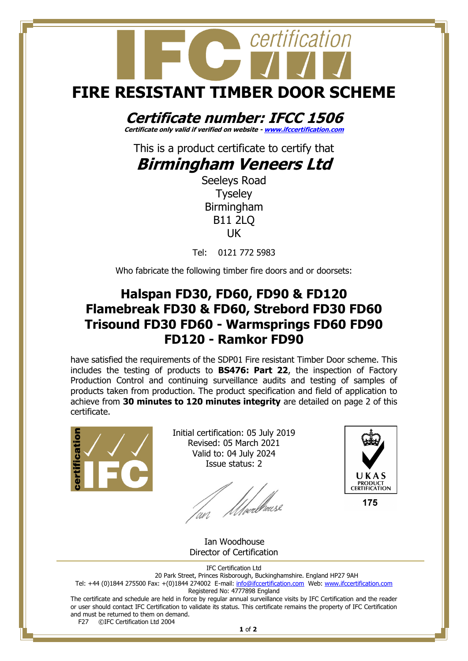# certification **FIRE RESISTANT TIMBER DOOR SCHEME**

## **Certificate number: IFCC 1506**

**Certificate only valid if verified on website - [www.ifccertification.com](http://www.ifccertification.com/)**

This is a product certificate to certify that

### **Birmingham Veneers Ltd**

Seeleys Road Tyseley Birmingham B11 2LQ UK

Tel: 0121 772 5983

Who fabricate the following timber fire doors and or doorsets:

#### **Halspan FD30, FD60, FD90 & FD120 Flamebreak FD30 & FD60, Strebord FD30 FD60 Trisound FD30 FD60 - Warmsprings FD60 FD90 FD120 - Ramkor FD90**

have satisfied the requirements of the SDP01 Fire resistant Timber Door scheme. This includes the testing of products to **BS476: Part 22**, the inspection of Factory Production Control and continuing surveillance audits and testing of samples of products taken from production. The product specification and field of application to achieve from **30 minutes to 120 minutes integrity** are detailed on page 2 of this certificate.



Initial certification: 05 July 2019 Revised: 05 March 2021 Valid to: 04 July 2024 Issue status: 2

*Ulverbro*use



 Ian Woodhouse Director of Certification

IFC Certification Ltd

20 Park Street, Princes Risborough, Buckinghamshire. England HP27 9AH Tel: +44 (0)1844 275500 Fax: +(0)1844 274002 E-mail[: info@ifccertification.com](mailto:info@ifccertification.com) Web: [www.ifccertification.com](http://www.ifccertification.com/) Registered No: 4777898 England

The certificate and schedule are held in force by regular annual surveillance visits by IFC Certification and the reader or user should contact IFC Certification to validate its status. This certificate remains the property of IFC Certification and must be returned to them on demand.<br>F27  $\odot$  FC Certification Ltd 2004 ©IFC Certification Ltd 2004

**1** of **2**